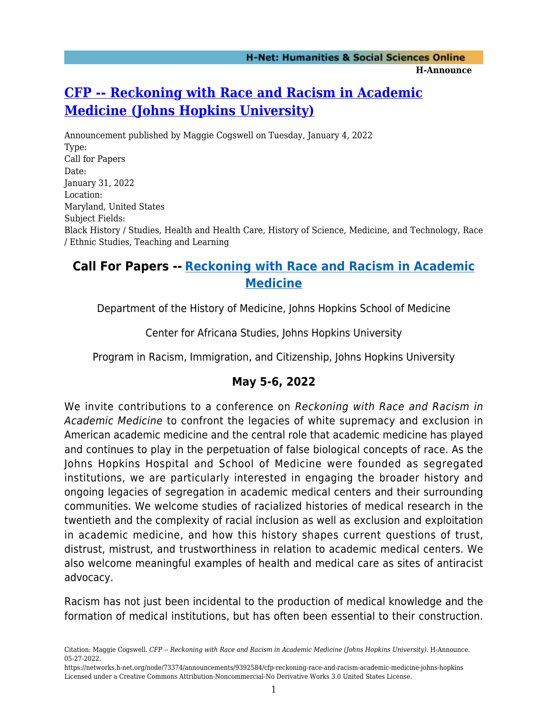# **[CFP -- Reckoning with Race and Racism in Academic](https://networks.h-net.org/node/73374/announcements/9392584/cfp-reckoning-race-and-racism-academic-medicine-johns-hopkins) [Medicine \(Johns Hopkins University\)](https://networks.h-net.org/node/73374/announcements/9392584/cfp-reckoning-race-and-racism-academic-medicine-johns-hopkins)**

Announcement published by Maggie Cogswell on Tuesday, January 4, 2022 Type: Call for Papers Date: January 31, 2022 Location: Maryland, United States Subject Fields: Black History / Studies, Health and Health Care, History of Science, Medicine, and Technology, Race / Ethnic Studies, Teaching and Learning

## **Call For Papers -- [Reckoning with Race and Racism in Academic](https://hopkinshistoryofmedicine.org/conf-reckoning-with-racism-med/) [Medicine](https://hopkinshistoryofmedicine.org/conf-reckoning-with-racism-med/)**

Department of the History of Medicine, Johns Hopkins School of Medicine

Center for Africana Studies, Johns Hopkins University

Program in Racism, Immigration, and Citizenship, Johns Hopkins University

### **May 5-6, 2022**

We invite contributions to a conference on Reckoning with Race and Racism in Academic Medicine to confront the legacies of white supremacy and exclusion in American academic medicine and the central role that academic medicine has played and continues to play in the perpetuation of false biological concepts of race. As the Johns Hopkins Hospital and School of Medicine were founded as segregated institutions, we are particularly interested in engaging the broader history and ongoing legacies of segregation in academic medical centers and their surrounding communities. We welcome studies of racialized histories of medical research in the twentieth and the complexity of racial inclusion as well as exclusion and exploitation in academic medicine, and how this history shapes current questions of trust, distrust, mistrust, and trustworthiness in relation to academic medical centers. We also welcome meaningful examples of health and medical care as sites of antiracist advocacy.

Racism has not just been incidental to the production of medical knowledge and the formation of medical institutions, but has often been essential to their construction.

Citation: Maggie Cogswell. *CFP -- Reckoning with Race and Racism in Academic Medicine (Johns Hopkins University)*. H-Announce. 05-27-2022.

https://networks.h-net.org/node/73374/announcements/9392584/cfp-reckoning-race-and-racism-academic-medicine-johns-hopkins Licensed under a Creative Commons Attribution-Noncommercial-No Derivative Works 3.0 United States License.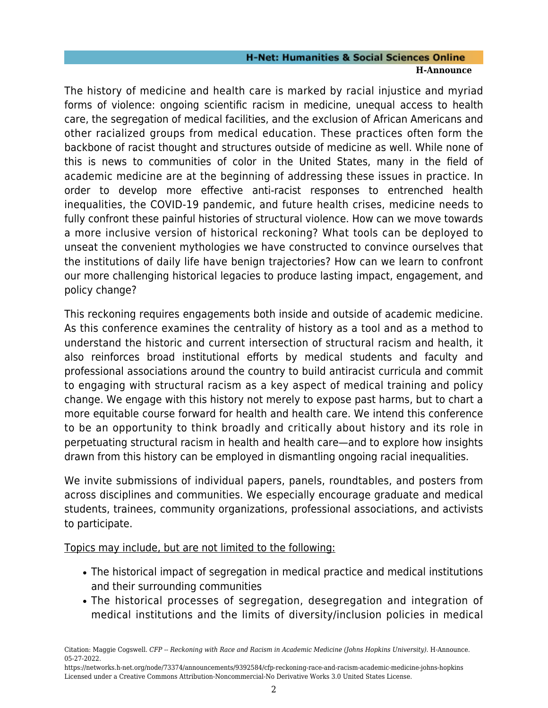#### **H-Net: Humanities & Social Sciences Online H-Announce**

The history of medicine and health care is marked by racial injustice and myriad forms of violence: ongoing scientific racism in medicine, unequal access to health care, the segregation of medical facilities, and the exclusion of African Americans and other racialized groups from medical education. These practices often form the backbone of racist thought and structures outside of medicine as well. While none of this is news to communities of color in the United States, many in the field of academic medicine are at the beginning of addressing these issues in practice. In order to develop more effective anti-racist responses to entrenched health inequalities, the COVID-19 pandemic, and future health crises, medicine needs to fully confront these painful histories of structural violence. How can we move towards a more inclusive version of historical reckoning? What tools can be deployed to unseat the convenient mythologies we have constructed to convince ourselves that the institutions of daily life have benign trajectories? How can we learn to confront our more challenging historical legacies to produce lasting impact, engagement, and policy change?

This reckoning requires engagements both inside and outside of academic medicine. As this conference examines the centrality of history as a tool and as a method to understand the historic and current intersection of structural racism and health, it also reinforces broad institutional efforts by medical students and faculty and professional associations around the country to build antiracist curricula and commit to engaging with structural racism as a key aspect of medical training and policy change. We engage with this history not merely to expose past harms, but to chart a more equitable course forward for health and health care. We intend this conference to be an opportunity to think broadly and critically about history and its role in perpetuating structural racism in health and health care—and to explore how insights drawn from this history can be employed in dismantling ongoing racial inequalities.

We invite submissions of individual papers, panels, roundtables, and posters from across disciplines and communities. We especially encourage graduate and medical students, trainees, community organizations, professional associations, and activists to participate.

Topics may include, but are not limited to the following:

- The historical impact of segregation in medical practice and medical institutions and their surrounding communities
- The historical processes of segregation, desegregation and integration of medical institutions and the limits of diversity/inclusion policies in medical

Citation: Maggie Cogswell. *CFP -- Reckoning with Race and Racism in Academic Medicine (Johns Hopkins University)*. H-Announce. 05-27-2022.

https://networks.h-net.org/node/73374/announcements/9392584/cfp-reckoning-race-and-racism-academic-medicine-johns-hopkins Licensed under a Creative Commons Attribution-Noncommercial-No Derivative Works 3.0 United States License.